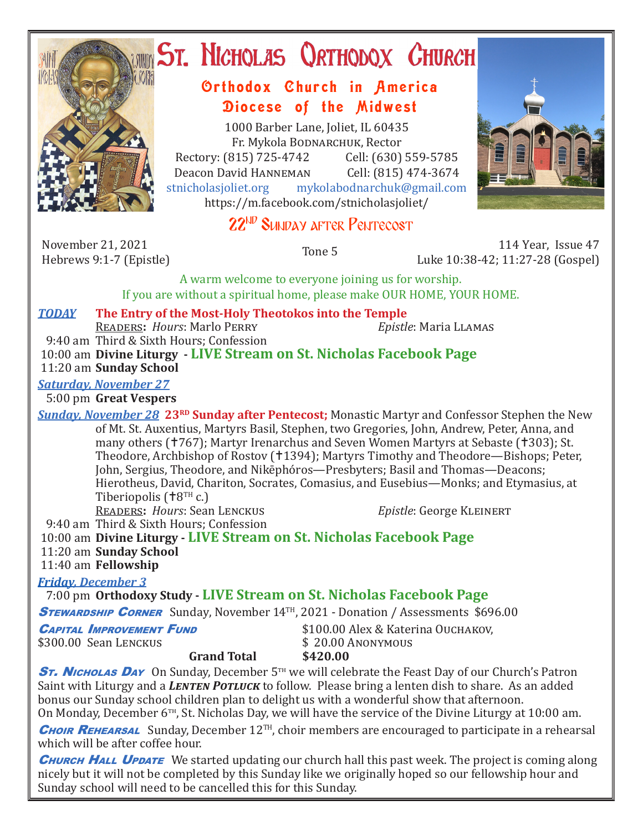

# **ST. NICHOLAS QRTHODOX CHURCH**

## Orthodox Church in America Diocese of the Midwest

1000 Barber Lane, Joliet, IL 60435 Fr. Mykola Bodnarchuk, Rector Rectory: (815) 725-4742 Cell: (630) 559-5785<br>Deacon David HANNEMAN Cell: (815) 474-3674 Deacon David HANNEMAN<br>stnicholasioliet.org mykola mykolabodnarchuk@gmail.com https://m.facebook.com/stnicholasjoliet/





November 21, 2021<br>Hebrews 9:1-7 (Epistle)

Hebrews 9:1-7 (Epistle) Tone 5 114 Year, Issue 47 Luke 10:38-42; 11:27-28 (Gospel)

A warm welcome to everyone joining us for worship. If you are without a spiritual home, please make OUR HOME, YOUR HOME.

### *TODAY* **The Entry of the Most-Holy Theotokos into the Temple**

Readers**:** *Hours*: Marlo Perry *Epistle*: Maria Llamas

 9:40 am Third & Sixth Hours; Confession 10:00 am **Divine Liturgy - LIVE Stream on St. Nicholas Facebook Page** 11:20 am **Sunday School**

### *Saturday, November 27*

5:00 pm **Great Vespers**

*Sunday, November 28* **23<sup>RD</sup> Sunday after Pentecost;** Monastic Martyr and Confessor Stephen the New of Mt. St. Auxentius, Martyrs Basil, Stephen, two Gregories, John, Andrew, Peter, Anna, and many others († 767); Martyr Irenarchus and Seven Women Martyrs at Sebaste († 303); St. Theodore, Archbishop of Rostov (†1394); Martyrs Timothy and Theodore—Bishops; Peter, John, Sergius, Theodore, and Nikēphóros—Presbyters; Basil and Thomas—Deacons; Hierotheus, David, Chariton, Socrates, Comasius, and Eusebius—Monks; and Etymasius, at Tiberiopolis ( $\text{t}8^{\text{TH}}$  c.)

READERS: *Hours*: Sean LENCKUS *Epistle*: George KLEINERT

9:40 am Third & Sixth Hours; Confession

10:00 am **Divine Liturgy - LIVE Stream on St. Nicholas Facebook Page**

11:20 am **Sunday School**

11:40 am **Fellowship**

*Friday, December 3* 

7:00 pm **Orthodoxy Study - LIVE Stream on St. Nicholas Facebook Page**

**STEWARDSHIP CORNER** Sunday, November 14<sup>TH</sup>, 2021 - Donation / Assessments \$696.00

**CAPITAL IMPROVEMENT FUND** \$100.00 Alex & Katerina Ouchakov,<br>\$300.00 Sean Lenckus \$20.00 Anonymous

 $$300.00$  Sean Lenckus<br>**Grand Total**  $$420.00$ **Grand Total** 

**ST. Nicholas Day** On Sunday, December 5<sup>th</sup> we will celebrate the Feast Day of our Church's Patron Saint with Liturgy and a *LENTEN POTLUCK* to follow. Please bring a lenten dish to share. As an added bonus our Sunday school children plan to delight us with a wonderful show that afternoon.

On Monday, December  $6<sup>TH</sup>$ , St. Nicholas Day, we will have the service of the Divine Liturgy at 10:00 am.

**CHOIR REHEARSAL** Sunday, December 12<sup>TH</sup>, choir members are encouraged to participate in a rehearsal which will be after coffee hour.

**CHURCH HALL UPDATE** We started updating our church hall this past week. The project is coming along nicely but it will not be completed by this Sunday like we originally hoped so our fellowship hour and Sunday school will need to be cancelled this for this Sunday.